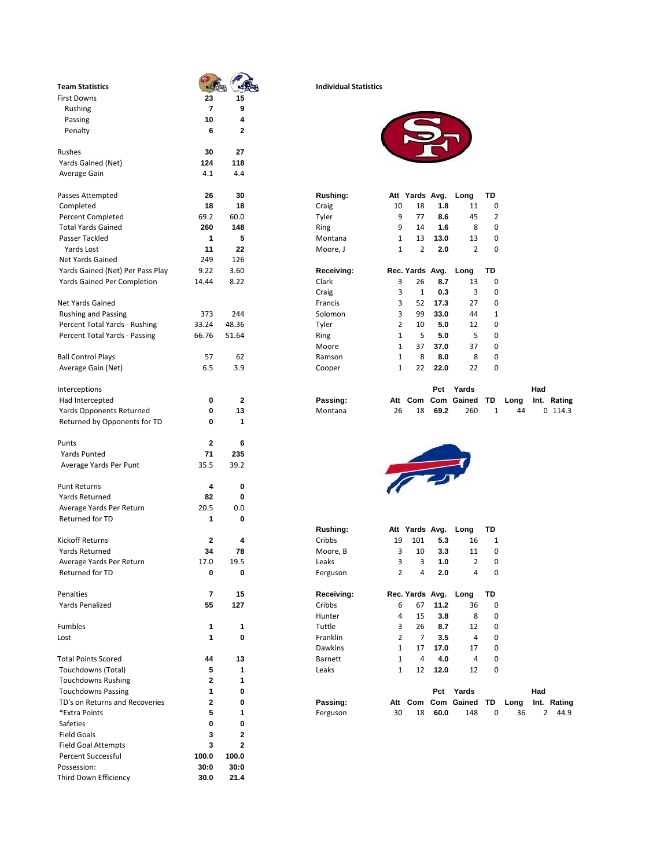| <b>Team Statistics</b>           |             |              | <b>Individual Statistics</b> |                                |                 |             |                       |        |      |                        |
|----------------------------------|-------------|--------------|------------------------------|--------------------------------|-----------------|-------------|-----------------------|--------|------|------------------------|
| <b>First Downs</b>               | 23          | 15           |                              |                                |                 |             |                       |        |      |                        |
| Rushing                          | 7           | 9            |                              |                                |                 |             |                       |        |      |                        |
| Passing                          | 10          | 4            |                              |                                |                 |             |                       |        |      |                        |
| Penalty                          | 6           | $\mathbf{2}$ |                              |                                |                 |             |                       |        |      |                        |
| Rushes                           | 30          | 27           |                              |                                |                 |             |                       |        |      |                        |
| Yards Gained (Net)               | 124         | 118          |                              |                                |                 |             |                       |        |      |                        |
| Average Gain                     | 4.1         | 4.4          |                              |                                |                 |             |                       |        |      |                        |
| Passes Attempted                 | 26          | 30           | Rushing:                     |                                | Att Yards Avg.  |             | Long                  | TD     |      |                        |
| Completed                        | 18          | 18           | Craig                        | 10                             | 18              | 1.8         | 11                    | 0      |      |                        |
| Percent Completed                | 69.2        | 60.0         | Tyler                        | 9                              | 77              | 8.6         | 45                    | 2      |      |                        |
| <b>Total Yards Gained</b>        | 260         | 148          | Ring                         | 9                              | 14              | 1.6         | 8                     | 0      |      |                        |
| Passer Tackled                   | 1           | 5            | Montana                      | 1                              | 13              | 13.0        | 13                    | 0      |      |                        |
| Yards Lost                       | 11          | 22           | Moore, J                     | 1                              | 2               | 2.0         | 2                     | 0      |      |                        |
| Net Yards Gained                 | 249         | 126          |                              |                                |                 |             |                       |        |      |                        |
| Yards Gained (Net) Per Pass Play | 9.22        | 3.60         | Receiving:                   |                                | Rec. Yards Avg. |             | Long                  | TD     |      |                        |
| Yards Gained Per Completion      | 14.44       | 8.22         | Clark                        | 3                              | 26              | 8.7         | 13                    | 0      |      |                        |
|                                  |             |              | Craig                        | 3                              | 1               | 0.3         | 3                     | 0      |      |                        |
| <b>Net Yards Gained</b>          |             |              | Francis                      | 3                              | 52              | 17.3        | 27                    | 0      |      |                        |
| <b>Rushing and Passing</b>       | 373         | 244          | Solomon                      | 3                              | 99              | 33.0        | 44                    | 1      |      |                        |
| Percent Total Yards - Rushing    | 33.24       | 48.36        | Tyler                        | 2                              | 10              | 5.0         | 12                    | 0      |      |                        |
| Percent Total Yards - Passing    | 66.76       | 51.64        | Ring                         | 1                              | 5               | 5.0         | 5                     | 0      |      |                        |
|                                  |             |              | Moore                        | 1                              | 37              | 37.0        | 37                    | 0      |      |                        |
| <b>Ball Control Plays</b>        | 57          | 62           | Ramson                       | 1                              | 8               | 8.0         | 8                     | 0      |      |                        |
| Average Gain (Net)               | 6.5         | 3.9          | Cooper                       | 1                              | 22              | 22.0        | 22                    | 0      |      |                        |
| Interceptions                    |             |              |                              |                                |                 | Pct         | Yards                 |        |      | Had                    |
| Had Intercepted                  | 0           | 2            | Passing:                     |                                |                 |             | Att Com Com Gained    | TD     | Long | Int. Rating            |
| <b>Yards Opponents Returned</b>  | 0           | 13           | Montana                      | 26                             | 18              | 69.2        | 260                   | 1      | 44   | $0$ 114.3              |
| Returned by Opponents for TD     | 0           | 1            |                              |                                |                 |             |                       |        |      |                        |
| Punts                            | 2           | 6            |                              |                                |                 |             |                       |        |      |                        |
| <b>Yards Punted</b>              | 71          | 235          |                              |                                |                 |             |                       |        |      |                        |
| Average Yards Per Punt           | 35.5        | 39.2         |                              |                                |                 |             |                       |        |      |                        |
| <b>Punt Returns</b>              | 4           | 0            |                              |                                |                 |             |                       |        |      |                        |
| Yards Returned                   | 82          | 0            |                              |                                |                 |             |                       |        |      |                        |
| Average Yards Per Return         | 20.5        | 0.0          |                              |                                |                 |             |                       |        |      |                        |
| Returned for TD                  | 1           | 0            |                              |                                |                 |             |                       |        |      |                        |
|                                  |             |              | <b>Rushing:</b>              |                                | Att Yards Avg.  |             | Long                  | TD     |      |                        |
| <b>Kickoff Returns</b>           | 2           | 4            | Cribbs                       | 19                             | 101             | 5.3         | 16                    | 1      |      |                        |
| Yards Returned                   | 34          | 78           | Moore, B                     | 3                              | 10              | 3.3         | 11                    | 0      |      |                        |
| Average Yards Per Return         | 17.0        | 19.5         | Leaks                        | 3                              | 3               | 1.0         | 2                     | 0      |      |                        |
| Returned for TD                  | 0           | 0            | Ferguson                     | $\overline{2}$                 | 4               | 2.0         | 4                     | 0      |      |                        |
| Penalties                        | 7           | 15           | Receiving:                   |                                |                 |             | Rec. Yards Avg. Long  | TD     |      |                        |
| Yards Penalized                  | 55          | 127          | Cribbs                       | 6                              | 67              | 11.2        | 36                    | 0      |      |                        |
|                                  |             |              | Hunter                       | 4                              | 15              | 3.8         | 8                     | 0      |      |                        |
| Fumbles                          | 1           | 1            | Tuttle                       | 3                              | 26              | 8.7         | 12                    | 0      |      |                        |
| Lost                             | 1           | 0            | Franklin<br>Dawkins          | $\overline{2}$<br>$\mathbf{1}$ | 7<br>17         | 3.5<br>17.0 | 4<br>17               | 0<br>0 |      |                        |
| <b>Total Points Scored</b>       | 44          | 13           | Barnett                      | $\mathbf{1}$                   | $\overline{4}$  | 4.0         | $\overline{4}$        | 0      |      |                        |
| Touchdowns (Total)               | 5           | 1            | Leaks                        | $\mathbf{1}$                   | 12              | 12.0        | 12                    | 0      |      |                        |
| <b>Touchdowns Rushing</b>        | $\mathbf 2$ | 1            |                              |                                |                 |             |                       |        |      |                        |
| <b>Touchdowns Passing</b>        | 1           | 0            |                              |                                |                 |             | Pct Yards             |        |      | Had                    |
| TD's on Returns and Recoveries   | $\mathbf 2$ | $\mathbf 0$  | Passing:                     |                                |                 |             | Att Com Com Gained TD |        | Long | Int. Rating            |
| *Extra Points                    | 5           | 1            | Ferguson                     | 30                             | 18              | 60.0        | 148                   | 0      | 36   | $\overline{2}$<br>44.9 |
| Safeties                         | 0           | 0            |                              |                                |                 |             |                       |        |      |                        |
| <b>Field Goals</b>               | 3           | $\mathbf 2$  |                              |                                |                 |             |                       |        |      |                        |
| <b>Field Goal Attempts</b>       | 3           | $\mathbf 2$  |                              |                                |                 |             |                       |        |      |                        |
| <b>Percent Successful</b>        | 100.0       | 100.0        |                              |                                |                 |             |                       |        |      |                        |
| Possession:                      | 30:0        | 30:0         |                              |                                |                 |             |                       |        |      |                        |
| Third Down Efficiency            | 30.0        | 21.4         |                              |                                |                 |             |                       |        |      |                        |

## **Individual Statistics**



|    |    |      | Att Yards Avg. Long TD |                |
|----|----|------|------------------------|----------------|
| 10 | 18 | 1.8  | 11                     | 0              |
| q  | 77 | 8.6  | 45                     | $\overline{2}$ |
| q  | 14 | 1.6  | 8                      | ŋ              |
| 1  | 13 | 13.0 | 13                     | ŋ              |
| 1  | 2  | 2.0  | $\mathcal{L}$          | ŋ              |
|    |    |      |                        |                |

|                | Rec. Yards Avg. Long |      |    | TD           |
|----------------|----------------------|------|----|--------------|
| 3              | 26                   | 8.7  | 13 | 0            |
| 3              | $\mathbf{1}$         | 0.3  | 3  | 0            |
| 3              | 52                   | 17.3 | 27 | 0            |
| 3              | 99                   | 33.0 | 44 | $\mathbf{1}$ |
| $\overline{2}$ | 10                   | 5.0  | 12 | 0            |
| $\mathbf{1}$   | 5                    | 5.0  | 5  | 0            |
| 1              | 37                   | 37.0 | 37 | 0            |
| 1              | 8                    | 8.0  | 8  | 0            |
| 1              | 22                   | 22.0 | 22 | 0            |
|                |                      |      |    |              |

| Interceptions            |  |          |  | Pct     | Yards                                  |    | Had |         |
|--------------------------|--|----------|--|---------|----------------------------------------|----|-----|---------|
| Had Intercepted          |  | Passing: |  |         | Att Com Com Gained TD Long Int. Rating |    |     |         |
| Yards Opponents Returned |  | Montana  |  | 18 69.2 | 260                                    | 44 |     | 0 114.3 |



|              |      | Rushing:       | Att          |     |      | Long  | TD                                           |      |      |                |
|--------------|------|----------------|--------------|-----|------|-------|----------------------------------------------|------|------|----------------|
| 2            | 4    | Cribbs         | 19           | 101 | 5.3  | 16    | 1                                            |      |      |                |
| 34           | 78   | Moore, B       | 3            | 10  | 3.3  | 11    | 0                                            |      |      |                |
| 17.0         | 19.5 | Leaks          | 3            | 3   | 1.0  | 2     | 0                                            |      |      |                |
| 0            | 0    | Ferguson       | 2            | 4   | 2.0  | 4     | 0                                            |      |      |                |
| 7            | 15   | Receiving:     |              |     |      |       | TD                                           |      |      |                |
| 55           | 127  | Cribbs         | 6            | 67  | 11.2 | 36    | 0                                            |      |      |                |
|              |      | Hunter         | 4            | 15  | 3.8  | 8     | 0                                            |      |      |                |
|              | 1    | Tuttle         | 3            | 26  | 8.7  | 12    | 0                                            |      |      |                |
|              | 0    | Franklin       | 2            |     | 3.5  | 4     | 0                                            |      |      |                |
|              |      | <b>Dawkins</b> | $\mathbf{1}$ | 17  | 17.0 | 17    | 0                                            |      |      |                |
| 44           | 13   | Barnett        |              | 4   | 4.0  | 4     | 0                                            |      |      |                |
| 5            | 1    | Leaks          |              | 12  | 12.0 | 12    | 0                                            |      |      |                |
| $\mathbf{2}$ | 1    |                |              |     |      |       |                                              |      |      |                |
|              | 0    |                |              |     | Pct  | Yards |                                              |      | Had  |                |
| 2            | 0    | Passing:       | Att          | Com | Com  |       | TD                                           | Long | Int. | Rating         |
| 5            | 1    | Ferguson       | 30           | 18  | 60.0 | 148   | 0                                            | 36   |      | 44.9           |
|              |      |                |              |     |      |       | Yards Avg.<br>Rec. Yards Avg. Long<br>Gained |      |      | $\overline{2}$ |